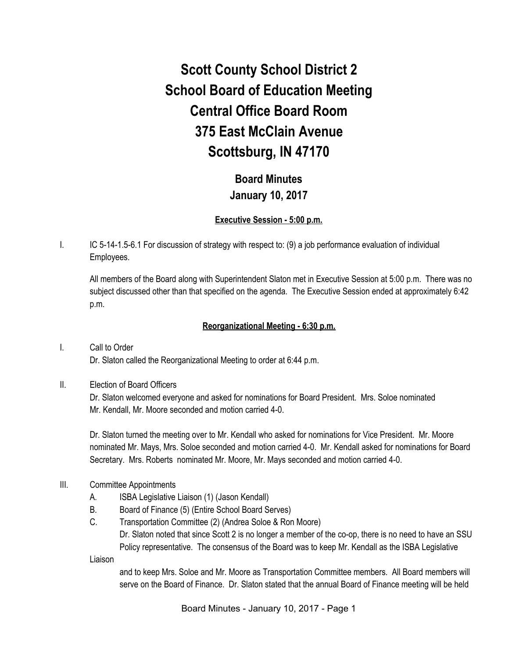# **Scott County School District 2 School Board of Education Meeting Central Office Board Room 375 East McClain Avenue Scottsburg, IN 47170**

**Board Minutes January 10, 2017**

#### **Executive Session - 5:00 p.m.**

I. IC 5-14-1.5-6.1 For discussion of strategy with respect to: (9) a job performance evaluation of individual Employees.

All members of the Board along with Superintendent Slaton met in Executive Session at 5:00 p.m. There was no subject discussed other than that specified on the agenda. The Executive Session ended at approximately 6:42 p.m.

#### **Reorganizational Meeting - 6:30 p.m.**

I. Call to Order Dr. Slaton called the Reorganizational Meeting to order at 6:44 p.m.

II. Election of Board Officers

Dr. Slaton welcomed everyone and asked for nominations for Board President. Mrs. Soloe nominated Mr. Kendall, Mr. Moore seconded and motion carried 4-0.

Dr. Slaton turned the meeting over to Mr. Kendall who asked for nominations for Vice President. Mr. Moore nominated Mr. Mays, Mrs. Soloe seconded and motion carried 4-0. Mr. Kendall asked for nominations for Board Secretary. Mrs. Roberts nominated Mr. Moore, Mr. Mays seconded and motion carried 4-0.

- III. Committee Appointments
	- A. ISBA Legislative Liaison (1) (Jason Kendall)
	- B. Board of Finance (5) (Entire School Board Serves)
	- C. Transportation Committee (2) (Andrea Soloe & Ron Moore) Dr. Slaton noted that since Scott 2 is no longer a member of the co-op, there is no need to have an SSU Policy representative. The consensus of the Board was to keep Mr. Kendall as the ISBA Legislative

Liaison

and to keep Mrs. Soloe and Mr. Moore as Transportation Committee members. All Board members will serve on the Board of Finance. Dr. Slaton stated that the annual Board of Finance meeting will be held

Board Minutes - January 10, 2017 - Page 1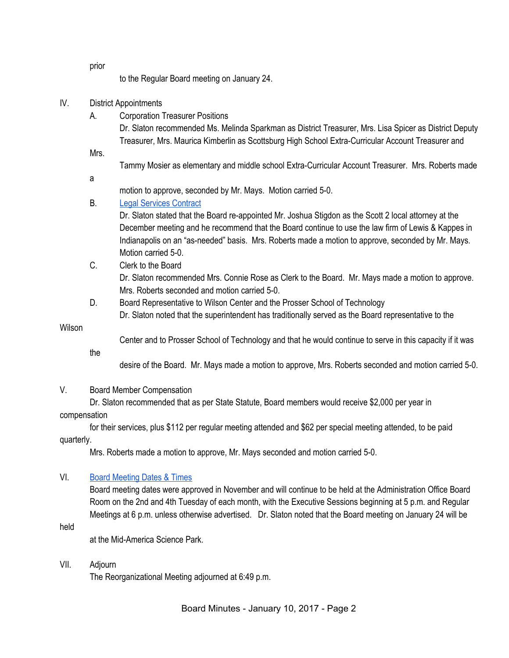prior

to the Regular Board meeting on January 24.

### IV. District Appointments

A. Corporation Treasurer Positions

Dr. Slaton recommended Ms. Melinda Sparkman as District Treasurer, Mrs. Lisa Spicer as District Deputy Treasurer, Mrs. Maurica Kimberlin as Scottsburg High School Extra-Curricular Account Treasurer and

Mrs.

Tammy Mosier as elementary and middle school Extra-Curricular Account Treasurer. Mrs. Roberts made

a

motion to approve, seconded by Mr. Mays. Motion carried 5-0.

## B. [Legal Services Contract](https://drive.google.com/file/d/0BxXvxnGh3EX1bVlxNlNuNkxjTUJTRjItWXZ2clAyQVZYQlo4/view)

Dr. Slaton stated that the Board re-appointed Mr. Joshua Stigdon as the Scott 2 local attorney at the December meeting and he recommend that the Board continue to use the law firm of Lewis & Kappes in Indianapolis on an "as-needed" basis. Mrs. Roberts made a motion to approve, seconded by Mr. Mays. Motion carried 5-0.

- C. Clerk to the Board Dr. Slaton recommended Mrs. Connie Rose as Clerk to the Board. Mr. Mays made a motion to approve. Mrs. Roberts seconded and motion carried 5-0.
- D. Board Representative to Wilson Center and the Prosser School of Technology Dr. Slaton noted that the superintendent has traditionally served as the Board representative to the

Wilson

Center and to Prosser School of Technology and that he would continue to serve in this capacity if it was

the

desire of the Board. Mr. Mays made a motion to approve, Mrs. Roberts seconded and motion carried 5-0.

V. Board Member Compensation

Dr. Slaton recommended that as per State Statute, Board members would receive \$2,000 per year in

## compensation

for their services, plus \$112 per regular meeting attended and \$62 per special meeting attended, to be paid quarterly.

Mrs. Roberts made a motion to approve, Mr. Mays seconded and motion carried 5-0.

## VI. [Board Meeting Dates & Times](https://docs.google.com/document/d/1DvKv3pnFdxVPeJvTmmUZQ5URxVJqvOdhPIJ95cae1sI/edit)

Board meeting dates were approved in November and will continue to be held at the Administration Office Board Room on the 2nd and 4th Tuesday of each month, with the Executive Sessions beginning at 5 p.m. and Regular Meetings at 6 p.m. unless otherwise advertised. Dr. Slaton noted that the Board meeting on January 24 will be

held

at the Mid-America Science Park.

VII. Adjourn

The Reorganizational Meeting adjourned at 6:49 p.m.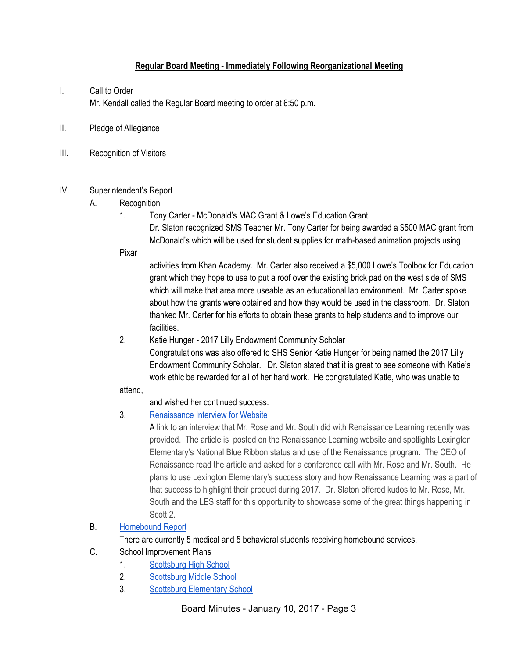## **Regular Board Meeting - Immediately Following Reorganizational Meeting**

## I. Call to Order Mr. Kendall called the Regular Board meeting to order at 6:50 p.m.

- II. Pledge of Allegiance
- III. Recognition of Visitors

#### IV. Superintendent's Report

- A. Recognition
	- 1. Tony Carter McDonald's MAC Grant & Lowe's Education Grant

Dr. Slaton recognized SMS Teacher Mr. Tony Carter for being awarded a \$500 MAC grant from McDonald's which will be used for student supplies for math-based animation projects using

Pixar

activities from Khan Academy. Mr. Carter also received a \$5,000 Lowe's Toolbox for Education grant which they hope to use to put a roof over the existing brick pad on the west side of SMS which will make that area more useable as an educational lab environment. Mr. Carter spoke about how the grants were obtained and how they would be used in the classroom. Dr. Slaton thanked Mr. Carter for his efforts to obtain these grants to help students and to improve our facilities.

2. Katie Hunger - 2017 Lilly Endowment Community Scholar Congratulations was also offered to SHS Senior Katie Hunger for being named the 2017 Lilly Endowment Community Scholar. Dr. Slaton stated that it is great to see someone with Katie's work ethic be rewarded for all of her hard work. He congratulated Katie, who was unable to

#### attend,

and wished her continued success.

## 3. [Renaissance Interview for Website](http://www.renaissance.com/2016/12/16/community-collaboration-celebration-national-blue-ribbon-merit-at-lexington-elementary/)

A link to an interview that Mr. Rose and Mr. South did with Renaissance Learning recently was provided. The article is posted on the Renaissance Learning website and spotlights Lexington Elementary's National Blue Ribbon status and use of the Renaissance program. The CEO of Renaissance read the article and asked for a conference call with Mr. Rose and Mr. South. He plans to use Lexington Elementary's success story and how Renaissance Learning was a part of that success to highlight their product during 2017. Dr. Slaton offered kudos to Mr. Rose, Mr. South and the LES staff for this opportunity to showcase some of the great things happening in Scott 2.

## B. [Homebound Report](https://docs.google.com/spreadsheets/d/1LM-9g2scwGBy4r6BPnMc7CTlfAqaCZrkCv3A2v1m4DI/edit#gid=0)

There are currently 5 medical and 5 behavioral students receiving homebound services.

- C. School Improvement Plans
	- 1. [Scottsburg High School](https://drive.google.com/file/d/0BxXvxnGh3EX1N25lbmppWnRIZGxDWjVlUEYwX1daazdwVW0w/view)
	- 2. [Scottsburg Middle School](https://drive.google.com/file/d/0B51FfmIJ83eHOGktMjhhbG1jYVE/view)
	- 3. [Scottsburg Elementary School](https://docs.google.com/document/d/16eCUd1UwUeDwS3UbkzAYa_qeEWmpsKhi-R9opncp-QU/edit)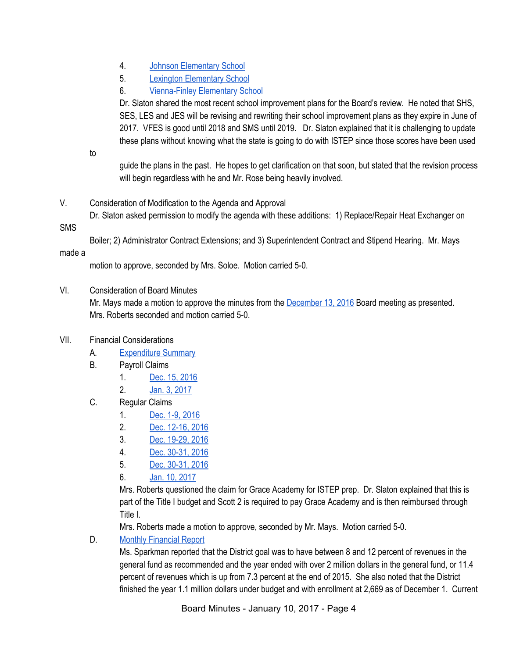- 4. [Johnson Elementary School](https://drive.google.com/file/d/0BxXvxnGh3EX1bmFqWFlTUzlMY3hoNEJhZUhYdXpIQzlMZGFZ/view)
- 5. [Lexington Elementary School](https://drive.google.com/file/d/0BxXvxnGh3EX1aUtYWjV0bGl6WWhsMk9zeXFqMVNjSlNUN0ww/view)
- 6. [Vienna-Finley Elementary School](https://docs.google.com/document/d/1VGPkoM1Gnv2SrM1-CTetMxdp7keJ-tgjQ9iGw_SgRnU/edit)

Dr. Slaton shared the most recent school improvement plans for the Board's review. He noted that SHS, SES, LES and JES will be revising and rewriting their school improvement plans as they expire in June of 2017. VFES is good until 2018 and SMS until 2019. Dr. Slaton explained that it is challenging to update these plans without knowing what the state is going to do with ISTEP since those scores have been used

to

guide the plans in the past. He hopes to get clarification on that soon, but stated that the revision process will begin regardless with he and Mr. Rose being heavily involved.

V. Consideration of Modification to the Agenda and Approval Dr. Slaton asked permission to modify the agenda with these additions: 1) Replace/Repair Heat Exchanger on

SMS

Boiler; 2) Administrator Contract Extensions; and 3) Superintendent Contract and Stipend Hearing. Mr. Mays

made a

motion to approve, seconded by Mrs. Soloe. Motion carried 5-0.

VI. Consideration of Board Minutes

Mr. Mays made a motion to approve the minutes from the [December 13, 2016](https://docs.google.com/document/d/11BXN8nkdE7NAt5OGtZBNZ2Novys-TcCZzpyo-Uejk6k/edit) Board meeting as presented. Mrs. Roberts seconded and motion carried 5-0.

## VII. Financial Considerations

- A. [Expenditure Summary](https://drive.google.com/file/d/0BxXvxnGh3EX1YUNDVkkwaTZVcVE0MkMwTWcwT0k1S2JnYjFr/view)
- B. Payroll Claims
	- 1. [Dec. 15, 2016](https://drive.google.com/file/d/0BxXvxnGh3EX1WFYyRk5JZjBjbWNrMXU2SHljX1NicXJ6UVc4/view)
	- 2. [Jan. 3, 2017](https://drive.google.com/file/d/0BxXvxnGh3EX1RC03V25EX0VnOUZ0MlJnb1pQanZtTVNmVk5r/view)
- C. Regular Claims
	- 1. [Dec. 1-9, 2016](https://drive.google.com/file/d/0BxXvxnGh3EX1aGdIcDhQSWVxUmxJMkNyd1dCSE9UdTltWnJv/view)
	- 2. [Dec. 12-16, 2016](https://drive.google.com/file/d/0BxXvxnGh3EX1MFd5RW9OX3dVaXE1LTJfblJyVW9DMWFxNEtn/view)
	- 3. [Dec. 19-29, 2016](https://drive.google.com/file/d/0BxXvxnGh3EX1QkRpWlBUbnItRXVQNnBXOF9yNF9XQllqNks4/view)
	- 4. [Dec. 30-31, 2016](https://drive.google.com/file/d/0BxXvxnGh3EX1VUxBcGFfR0s0MkpBSWtQWlN1Nm5EN2pCdXBZ/view)
	- 5. [Dec. 30-31, 2016](https://drive.google.com/file/d/0BxXvxnGh3EX1WUNUMHl1VTNiMXJXdF9vZWg2bmtodXFDUE1V/view)
	- 6. [Jan. 10, 2017](https://drive.google.com/file/d/0BxXvxnGh3EX1UlBMeGVjajNOS0M1MGVXYTVqZG9YUDVvT0NV/view)

Mrs. Roberts questioned the claim for Grace Academy for ISTEP prep. Dr. Slaton explained that this is part of the Title I budget and Scott 2 is required to pay Grace Academy and is then reimbursed through Title I.

Mrs. Roberts made a motion to approve, seconded by Mr. Mays. Motion carried 5-0.

D. [Monthly Financial Report](https://drive.google.com/file/d/0BxXvxnGh3EX1OVlPb2dmQ1ZoRUJwMFJpNkNlZGFqRkRhYmtn/view)

Ms. Sparkman reported that the District goal was to have between 8 and 12 percent of revenues in the general fund as recommended and the year ended with over 2 million dollars in the general fund, or 11.4 percent of revenues which is up from 7.3 percent at the end of 2015. She also noted that the District finished the year 1.1 million dollars under budget and with enrollment at 2,669 as of December 1. Current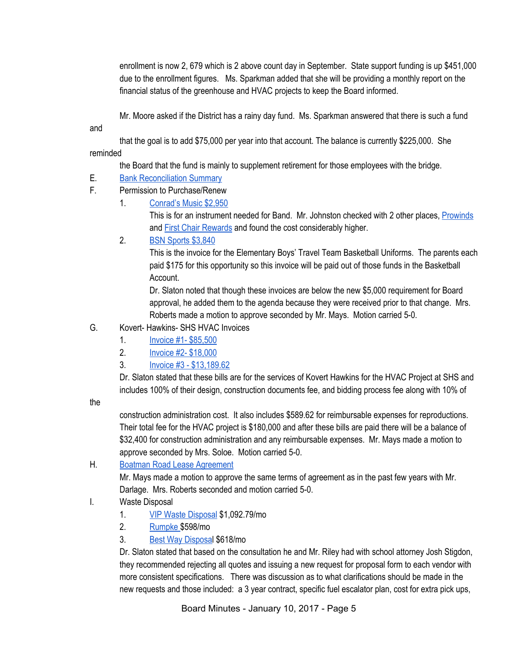enrollment is now 2, 679 which is 2 above count day in September. State support funding is up \$451,000 due to the enrollment figures. Ms. Sparkman added that she will be providing a monthly report on the financial status of the greenhouse and HVAC projects to keep the Board informed.

Mr. Moore asked if the District has a rainy day fund. Ms. Sparkman answered that there is such a fund

and

that the goal is to add \$75,000 per year into that account. The balance is currently \$225,000. She reminded

the Board that the fund is mainly to supplement retirement for those employees with the bridge.

## E. [Bank Reconciliation Summary](https://drive.google.com/file/d/0BxXvxnGh3EX1MmU3MDJPMkMzVkJrZFc3NWRhajRUVm9TWlVB/view)

- F. Permission to Purchase/Renew
	- 1. [Conrad's Music \\$2,950](https://drive.google.com/file/d/0BxXvxnGh3EX1V2NLdE90NHlRVWRTZ1lsRzlWUzVfUnM5NzVR/view)

This is for an instrument needed for Band. Mr. Johnston checked with 2 other places, [Prowinds](https://drive.google.com/file/d/0BxXvxnGh3EX1SlRlNFZYbWttWVk4NUszb25JZTZUVUs4U0pV/view) and **[First Chair Rewards](https://drive.google.com/file/d/0BxXvxnGh3EX1bnRoblVUX1BMMEJqNHE3MF9JMHZyenAzdk5n/view)** and found the cost considerably higher.

2. [BSN Sports \\$3,840](https://drive.google.com/file/d/0BxXvxnGh3EX1bnlDYUxqMjZZVEN3TmpydExaOXNvWUNENWpz/view)

This is the invoice for the Elementary Boys' Travel Team Basketball Uniforms. The parents each paid \$175 for this opportunity so this invoice will be paid out of those funds in the Basketball Account.

Dr. Slaton noted that though these invoices are below the new \$5,000 requirement for Board approval, he added them to the agenda because they were received prior to that change. Mrs. Roberts made a motion to approve seconded by Mr. Mays. Motion carried 5-0.

- G. Kovert- Hawkins- SHS HVAC Invoices
	- 1. [Invoice #1- \\$85,500](https://drive.google.com/file/d/0BxXvxnGh3EX1RktfdzA4NE4yWTlUNXpoRzIwNGgtUUlNdmRJ/view)
	- 2. **[Invoice #2- \\$18,000](https://drive.google.com/file/d/0BxXvxnGh3EX1bW5ndHZOT0NoTTk3N3U2RWN4VlVFaUd4d1Jv/view)**
	- 3. [Invoice #3 \\$13,189.62](https://drive.google.com/file/d/0BxXvxnGh3EX1QVpFWlFOVm90dURIdUNvaEtFblV6WkNxWGc0/view)

Dr. Slaton stated that these bills are for the services of Kovert Hawkins for the HVAC Project at SHS and includes 100% of their design, construction documents fee, and bidding process fee along with 10% of

the

construction administration cost. It also includes \$589.62 for reimbursable expenses for reproductions. Their total fee for the HVAC project is \$180,000 and after these bills are paid there will be a balance of \$32,400 for construction administration and any reimbursable expenses. Mr. Mays made a motion to approve seconded by Mrs. Soloe. Motion carried 5-0.

H. [Boatman Road Lease Agreement](https://drive.google.com/file/d/0BxXvxnGh3EX1UDI0c3JrbHcyS1ZyTU5zWlNnemhCdUFJa2N3/view)

Mr. Mays made a motion to approve the same terms of agreement as in the past few years with Mr. Darlage. Mrs. Roberts seconded and motion carried 5-0.

- I. Waste Disposal
	- 1. [VIP Waste Disposal](https://drive.google.com/file/d/0BxXvxnGh3EX1WFlMQ3IzTk1tSExrVUctTVZZSE14UnFBZGtZ/view) \$1,092.79/mo
	- 2. [Rumpke \\$](https://drive.google.com/file/d/0BxXvxnGh3EX1ckc3R2lENlFWM1FMT090LWZOSVc1bXdLN1Jv/view)598/mo
	- 3. [Best Way Disposal](https://drive.google.com/file/d/0BxXvxnGh3EX1YTRTWDU1SGxNXy00cDQxeTctaUtLcjNMV0dv/view) \$618/mo

Dr. Slaton stated that based on the consultation he and Mr. Riley had with school attorney Josh Stigdon, they recommended rejecting all quotes and issuing a new request for proposal form to each vendor with more consistent specifications. There was discussion as to what clarifications should be made in the new requests and those included: a 3 year contract, specific fuel escalator plan, cost for extra pick ups,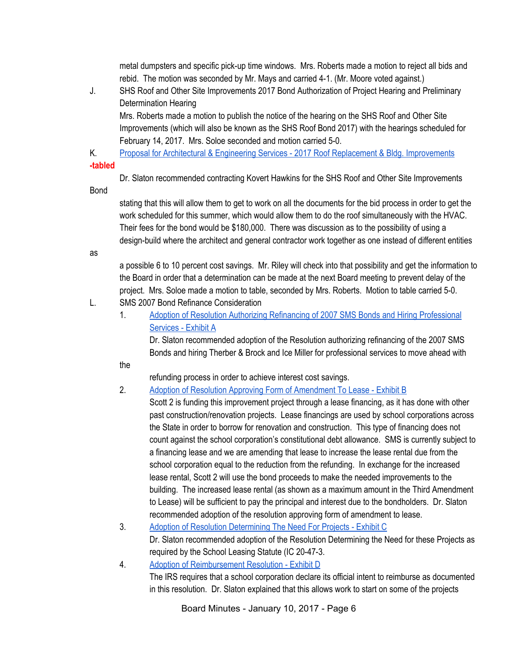metal dumpsters and specific pick-up time windows. Mrs. Roberts made a motion to reject all bids and rebid. The motion was seconded by Mr. Mays and carried 4-1. (Mr. Moore voted against.)

J. SHS Roof and Other Site Improvements 2017 Bond Authorization of Project Hearing and Preliminary Determination Hearing

Mrs. Roberts made a motion to publish the notice of the hearing on the SHS Roof and Other Site Improvements (which will also be known as the SHS Roof Bond 2017) with the hearings scheduled for February 14, 2017. Mrs. Soloe seconded and motion carried 5-0.

K. [Proposal for Architectural & Engineering Services - 2017 Roof Replacement & Bldg. Improvements](https://drive.google.com/file/d/0BxXvxnGh3EX1dmNlenJZaDZPdjl4d3VNaFhONWVIWWRzbDkw/view)

#### **-tabled**

Dr. Slaton recommended contracting Kovert Hawkins for the SHS Roof and Other Site Improvements

Bond

stating that this will allow them to get to work on all the documents for the bid process in order to get the work scheduled for this summer, which would allow them to do the roof simultaneously with the HVAC. Their fees for the bond would be \$180,000. There was discussion as to the possibility of using a design-build where the architect and general contractor work together as one instead of different entities

as

a possible 6 to 10 percent cost savings. Mr. Riley will check into that possibility and get the information to the Board in order that a determination can be made at the next Board meeting to prevent delay of the project. Mrs. Soloe made a motion to table, seconded by Mrs. Roberts. Motion to table carried 5-0.

- L. SMS 2007 Bond Refinance Consideration
	- 1. [Adoption of Resolution Authorizing Refinancing of 2007 SMS Bonds and Hiring Professional](https://drive.google.com/file/d/0BxXvxnGh3EX1RzZiWDRWQlVzajktT0pZT20yVmtPN0xteC1V/view) [Services - Exhibit A](https://drive.google.com/file/d/0BxXvxnGh3EX1RzZiWDRWQlVzajktT0pZT20yVmtPN0xteC1V/view)

Dr. Slaton recommended adoption of the Resolution authorizing refinancing of the 2007 SMS Bonds and hiring Therber & Brock and Ice Miller for professional services to move ahead with

the

refunding process in order to achieve interest cost savings.

## 2. [Adoption of Resolution Approving Form of Amendment To Lease - Exhibit B](https://drive.google.com/file/d/0BxXvxnGh3EX1bk9LSjVWTmlmMmFpTllKNWg3Sm1GODF2SVU4/view)

Scott 2 is funding this improvement project through a lease financing, as it has done with other past construction/renovation projects. Lease financings are used by school corporations across the State in order to borrow for renovation and construction. This type of financing does not count against the school corporation's constitutional debt allowance. SMS is currently subject to a financing lease and we are amending that lease to increase the lease rental due from the school corporation equal to the reduction from the refunding. In exchange for the increased lease rental, Scott 2 will use the bond proceeds to make the needed improvements to the building. The increased lease rental (as shown as a maximum amount in the Third Amendment to Lease) will be sufficient to pay the principal and interest due to the bondholders. Dr. Slaton recommended adoption of the resolution approving form of amendment to lease.

- 3. [Adoption of Resolution Determining The Need For Projects Exhibit C](https://drive.google.com/file/d/0BxXvxnGh3EX1S3diclRHaGNnU0laNXVzNzJlMFU5S245Qmpv/view) Dr. Slaton recommended adoption of the Resolution Determining the Need for these Projects as required by the School Leasing Statute (IC 20-47-3.
- 4. [Adoption of Reimbursement Resolution Exhibit D](https://drive.google.com/file/d/0BxXvxnGh3EX1eElHOWZHU2xYOE1lVGhaRVA3Z1kwaFNQS2h3/view)

The IRS requires that a school corporation declare its official intent to reimburse as documented in this resolution. Dr. Slaton explained that this allows work to start on some of the projects

Board Minutes - January 10, 2017 - Page 6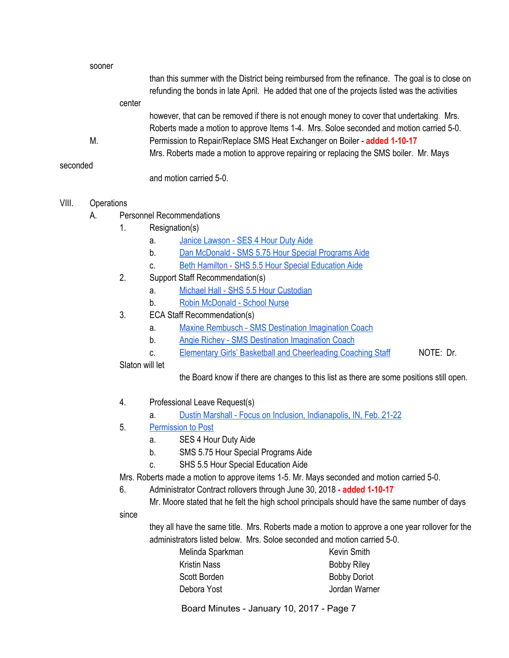|          | sooner |        |                                                                                                                                                                                                   |
|----------|--------|--------|---------------------------------------------------------------------------------------------------------------------------------------------------------------------------------------------------|
|          |        |        | than this summer with the District being reimbursed from the refinance. The goal is to close on<br>refunding the bonds in late April. He added that one of the projects listed was the activities |
|          |        | center |                                                                                                                                                                                                   |
|          |        |        | however, that can be removed if there is not enough money to cover that undertaking. Mrs.                                                                                                         |
|          |        |        | Roberts made a motion to approve Items 1-4. Mrs. Soloe seconded and motion carried 5-0.                                                                                                           |
|          | М.     |        | Permission to Repair/Replace SMS Heat Exchanger on Boiler - added 1-10-17                                                                                                                         |
|          |        |        | Mrs. Roberts made a motion to approve repairing or replacing the SMS boiler. Mr. Mays                                                                                                             |
| seconded |        |        |                                                                                                                                                                                                   |
|          |        |        | and motion carried 5-0.                                                                                                                                                                           |
|          |        |        |                                                                                                                                                                                                   |

#### VIII. Operations

- A. Personnel Recommendations
	- 1. Resignation(s)
		- a. [Janice Lawson SES 4 Hour Duty Aide](https://drive.google.com/file/d/0BxXvxnGh3EX1aDBPbmhDcElST2JQWVVnU3VMQV9xcm9wekh3/view)
		- b. [Dan McDonald SMS 5.75 Hour Special Programs Aide](https://drive.google.com/file/d/0BxXvxnGh3EX1TUY3alZfeWowZVp3Y2FKRWhnQUQ4eTBSUzFV/view)
		- c. [Beth Hamilton SHS 5.5 Hour Special Education Aide](https://drive.google.com/file/d/0BxXvxnGh3EX1by1RSzEtQXdiU0tkYXpPcHBzSnFlR3Z2MEln/view)
	- 2. Support Staff Recommendation(s)
		- a. [Michael Hall SHS 5.5 Hour Custodian](https://drive.google.com/file/d/0BxXvxnGh3EX1amVfaXVGRWVoMDFDdHIxcVRSNFl3WFNqNzVv/view)
		- b. [Robin McDonald School Nurse](https://drive.google.com/file/d/0BxXvxnGh3EX1YTVvaHg0N2diT2U1NDlUSDRFRkl2Sm5aVnRN/view)
	- 3. ECA Staff Recommendation(s)
		- a. [Maxine Rembusch SMS Destination Imagination Coach](https://drive.google.com/file/d/0BxXvxnGh3EX1enlpcUE3aHFZQldXODRHUkU5TmVKUkduaEZr/view)
		- b. [Angie Richey SMS Destination Imagination Coach](https://drive.google.com/file/d/0BxXvxnGh3EX1QmU1VXRmV3owQkIzTk9OVjBLaV80cnAwLWVF/view)
		- c. [Elementary Girls' Basketball and Cheerleading Coaching Staff](https://docs.google.com/spreadsheets/d/1Dy9b0x-GvQFoc3IOQcrAnpCcqat3OT3mT9LvJ1vo-hM/edit#gid=0) NOTE: Dr.

## Slaton will let

the Board know if there are changes to this list as there are some positions still open.

- 4. Professional Leave Request(s)
	- a. [Dustin Marshall Focus on Inclusion, Indianapolis, IN, Feb. 21-22](https://drive.google.com/file/d/0BxXvxnGh3EX1T1I1U3lGdGJGNl9xbU43eDVqWExOeFV6emUw/view)
- 5. [Permission to Post](https://docs.google.com/document/d/1EdkoLJLFw8fEUXWu_jy2dHKB9Y9WjNgIEq3uDViIIUY/edit)
	- a. SES 4 Hour Duty Aide
	- b. SMS 5.75 Hour Special Programs Aide
	- c. SHS 5.5 Hour Special Education Aide

Mrs. Roberts made a motion to approve items 1-5. Mr. Mays seconded and motion carried 5-0.

6. Administrator Contract rollovers through June 30, 2018 **- added 1-10-17**

Mr. Moore stated that he felt the high school principals should have the same number of days since

they all have the same title. Mrs. Roberts made a motion to approve a one year rollover for the administrators listed below. Mrs. Soloe seconded and motion carried 5-0.

| Melinda Sparkman    | Kevin Smith         |
|---------------------|---------------------|
| <b>Kristin Nass</b> | <b>Bobby Riley</b>  |
| Scott Borden        | <b>Bobby Doriot</b> |
| Debora Yost         | Jordan Warner       |
|                     |                     |

Board Minutes - January 10, 2017 - Page 7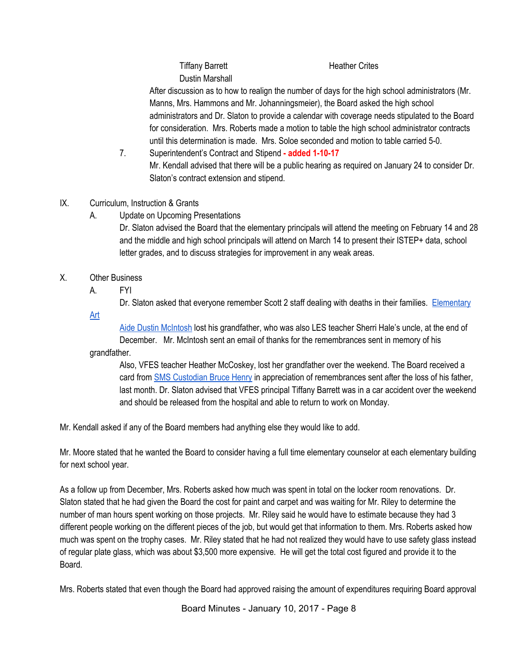After discussion as to how to realign the number of days for the high school administrators (Mr. Manns, Mrs. Hammons and Mr. Johanningsmeier), the Board asked the high school administrators and Dr. Slaton to provide a calendar with coverage needs stipulated to the Board for consideration. Mrs. Roberts made a motion to table the high school administrator contracts until this determination is made. Mrs. Soloe seconded and motion to table carried 5-0.

- 7. Superintendent's Contract and Stipend **added 1-10-17** Mr. Kendall advised that there will be a public hearing as required on January 24 to consider Dr. Slaton's contract extension and stipend.
- IX. Curriculum, Instruction & Grants
	- A. Update on Upcoming Presentations

Dr. Slaton advised the Board that the elementary principals will attend the meeting on February 14 and 28 and the middle and high school principals will attend on March 14 to present their ISTEP+ data, school letter grades, and to discuss strategies for improvement in any weak areas.

- X. Other Business
	- A. FYI

Dr. Slaton asked that everyone remember Scott 2 staff dealing with deaths in their families. [Elementary](https://drive.google.com/file/d/0BxXvxnGh3EX1YnplakNDWkVsV3lha0hSLWRMNzRhTDB2RzA0/view)

[Art](https://drive.google.com/file/d/0BxXvxnGh3EX1YnplakNDWkVsV3lha0hSLWRMNzRhTDB2RzA0/view)

[Aide Dustin McIntosh](https://drive.google.com/file/d/0BxXvxnGh3EX1YnplakNDWkVsV3lha0hSLWRMNzRhTDB2RzA0/view) lost his grandfather, who was also LES teacher Sherri Hale's uncle, at the end of December. Mr. McIntosh sent an email of thanks for the remembrances sent in memory of his grandfather.

Also, VFES teacher Heather McCoskey, lost her grandfather over the weekend. The Board received a card from [SMS Custodian Bruce Henry](https://drive.google.com/file/d/0BxXvxnGh3EX1T2RTd3gtNGc2eXBhSTRnY3NmbG9TeGRLeUVJ/view) in appreciation of remembrances sent after the loss of his father, last month. Dr. Slaton advised that VFES principal Tiffany Barrett was in a car accident over the weekend and should be released from the hospital and able to return to work on Monday.

Mr. Kendall asked if any of the Board members had anything else they would like to add.

Mr. Moore stated that he wanted the Board to consider having a full time elementary counselor at each elementary building for next school year.

As a follow up from December, Mrs. Roberts asked how much was spent in total on the locker room renovations. Dr. Slaton stated that he had given the Board the cost for paint and carpet and was waiting for Mr. Riley to determine the number of man hours spent working on those projects. Mr. Riley said he would have to estimate because they had 3 different people working on the different pieces of the job, but would get that information to them. Mrs. Roberts asked how much was spent on the trophy cases. Mr. Riley stated that he had not realized they would have to use safety glass instead of regular plate glass, which was about \$3,500 more expensive. He will get the total cost figured and provide it to the Board.

Mrs. Roberts stated that even though the Board had approved raising the amount of expenditures requiring Board approval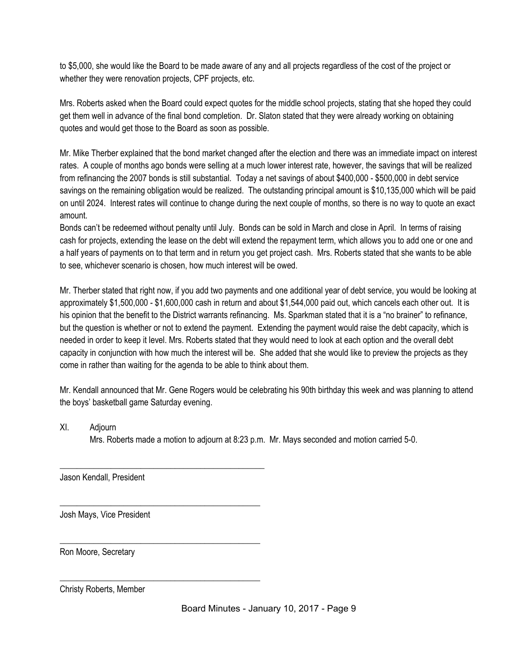to \$5,000, she would like the Board to be made aware of any and all projects regardless of the cost of the project or whether they were renovation projects, CPF projects, etc.

Mrs. Roberts asked when the Board could expect quotes for the middle school projects, stating that she hoped they could get them well in advance of the final bond completion. Dr. Slaton stated that they were already working on obtaining quotes and would get those to the Board as soon as possible.

Mr. Mike Therber explained that the bond market changed after the election and there was an immediate impact on interest rates. A couple of months ago bonds were selling at a much lower interest rate, however, the savings that will be realized from refinancing the 2007 bonds is still substantial. Today a net savings of about \$400,000 - \$500,000 in debt service savings on the remaining obligation would be realized. The outstanding principal amount is \$10,135,000 which will be paid on until 2024. Interest rates will continue to change during the next couple of months, so there is no way to quote an exact amount.

Bonds can't be redeemed without penalty until July. Bonds can be sold in March and close in April. In terms of raising cash for projects, extending the lease on the debt will extend the repayment term, which allows you to add one or one and a half years of payments on to that term and in return you get project cash. Mrs. Roberts stated that she wants to be able to see, whichever scenario is chosen, how much interest will be owed.

Mr. Therber stated that right now, if you add two payments and one additional year of debt service, you would be looking at approximately \$1,500,000 - \$1,600,000 cash in return and about \$1,544,000 paid out, which cancels each other out. It is his opinion that the benefit to the District warrants refinancing. Ms. Sparkman stated that it is a "no brainer" to refinance, but the question is whether or not to extend the payment. Extending the payment would raise the debt capacity, which is needed in order to keep it level. Mrs. Roberts stated that they would need to look at each option and the overall debt capacity in conjunction with how much the interest will be. She added that she would like to preview the projects as they come in rather than waiting for the agenda to be able to think about them.

Mr. Kendall announced that Mr. Gene Rogers would be celebrating his 90th birthday this week and was planning to attend the boys' basketball game Saturday evening.

XI. Adjourn

Mrs. Roberts made a motion to adjourn at 8:23 p.m. Mr. Mays seconded and motion carried 5-0.

Jason Kendall, President

\_\_\_\_\_\_\_\_\_\_\_\_\_\_\_\_\_\_\_\_\_\_\_\_\_\_\_\_\_\_\_\_\_\_\_\_\_\_\_\_\_\_\_\_\_\_\_\_

\_\_\_\_\_\_\_\_\_\_\_\_\_\_\_\_\_\_\_\_\_\_\_\_\_\_\_\_\_\_\_\_\_\_\_\_\_\_\_\_\_\_\_\_\_\_\_

\_\_\_\_\_\_\_\_\_\_\_\_\_\_\_\_\_\_\_\_\_\_\_\_\_\_\_\_\_\_\_\_\_\_\_\_\_\_\_\_\_\_\_\_\_\_\_

\_\_\_\_\_\_\_\_\_\_\_\_\_\_\_\_\_\_\_\_\_\_\_\_\_\_\_\_\_\_\_\_\_\_\_\_\_\_\_\_\_\_\_\_\_\_\_

Josh Mays, Vice President

Ron Moore, Secretary

Christy Roberts, Member